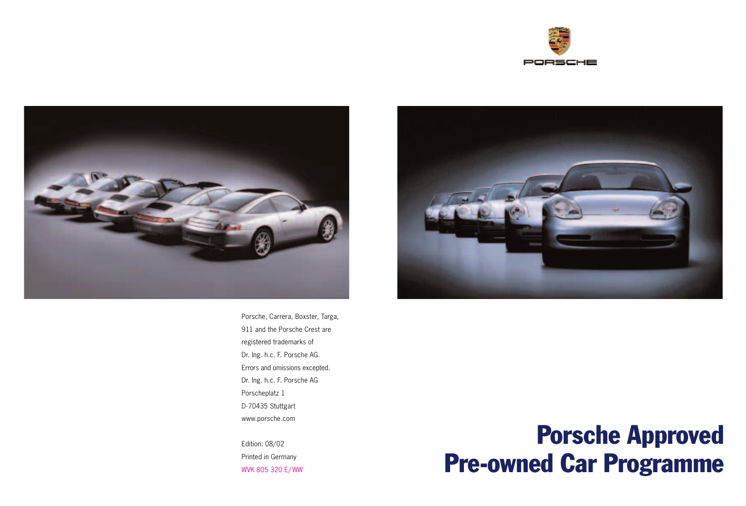



Porsche, Carrera, Boxster, Targa, 911 and the Porsche Crest are registered trademarks of Dr. Ing. h.c. F. Porsche AG. Errors and omissions excepted. Dr. Ing. h.c. F. Porsche AG Porscheplatz 1 D-70435 Stuttgart www.porsche.com

Edition: 08/02 Printed in Germany WVK 805 320 E/ WW



# Porsche Approved Pre-owned Car Programme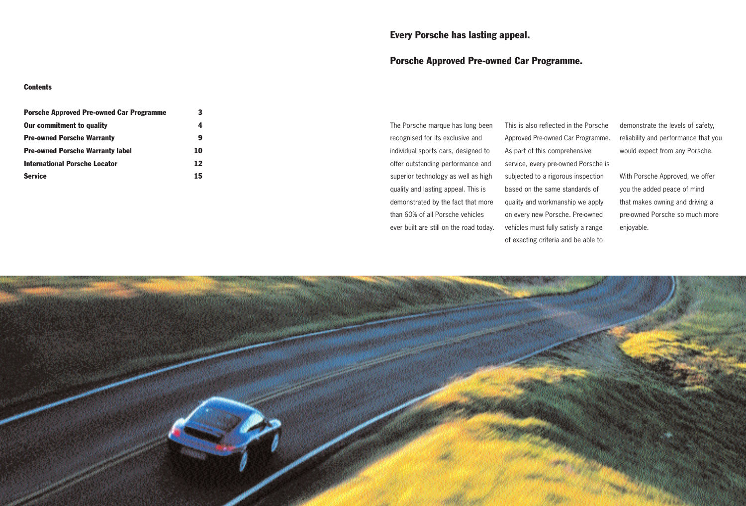## Every Porsche has lasting appeal.

## Porsche Approved Pre-owned Car Programme.

#### **Contents**

| <b>Porsche Approved Pre-owned Car Programme</b>                       | 3      |
|-----------------------------------------------------------------------|--------|
| <b>Our commitment to quality</b><br><b>Pre-owned Porsche Warranty</b> | 4<br>9 |
|                                                                       |        |
| <b>International Porsche Locator</b>                                  | 12     |
| <b>Service</b>                                                        | 15     |

The Porsche marque has long been recognised for its exclusive and individual sports cars, designed to offer outstanding performance and superior technology as well as high quality and lasting appeal. This is demonstrated by the fact that more than 60% of all Porsche vehicles ever built are still on the road today.

This is also reflected in the Porsche Approved Pre-owned Car Programme. As part of this comprehensive service, every pre-owned Porsche is subjected to a rigorous inspection based on the same standards of quality and workmanship we apply on every new Porsche. Pre-owned vehicles must fully satisfy a range of exacting criteria and be able to

demonstrate the levels of safety, reliability and performance that you would expect from any Porsche.

With Porsche Approved, we offer you the added peace of mind that makes owning and driving a pre-owned Porsche so much more enjoyable.

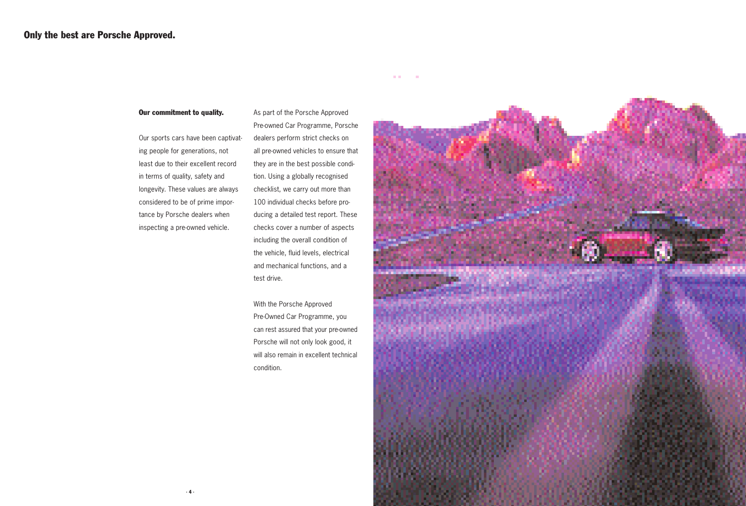#### Our commitment to quality.

Our sports cars have been captivating people for generations, not least due to their excellent record in terms of quality, safety and longevity. These values are always considered to be of prime importance by Porsche dealers when inspecting a pre-owned vehicle.

As part of the Porsche Approved Pre-owned Car Programme, Porsche dealers perform strict checks on all pre-owned vehicles to ensure that they are in the best possible condition. Using a globally recognised checklist, we carry out more than 100 individual checks before producing a detailed test report. These checks cover a number of aspects including the overall condition of the vehicle, fluid levels, electrical and mechanical functions, and a test drive.

**ALCOHOL:** 

With the Porsche Approved Pre-Owned Car Programme, you can rest assured that your pre-owned Porsche will not only look good, it will also remain in excellent technical condition.

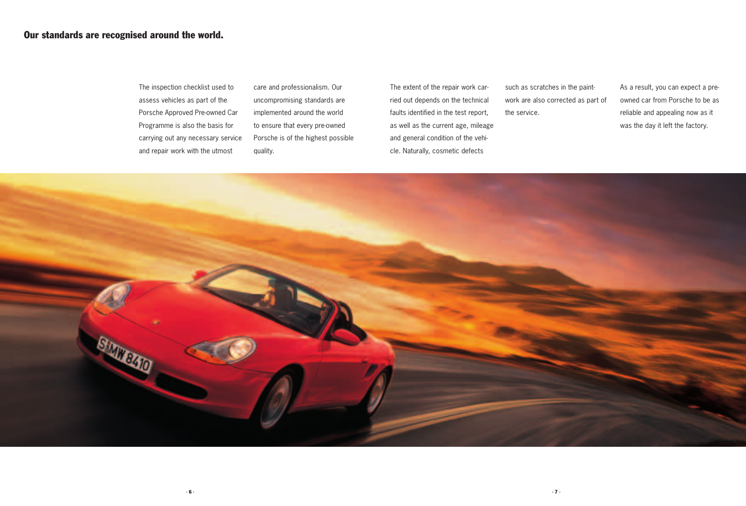The inspection checklist used to assess vehicles as part of the Porsche Approved Pre-owned Car Programme is also the basis for carrying out any necessary service and repair work with the utmost

care and professionalism. Our uncompromising standards are implemented around the world to ensure that every pre-owned Porsche is of the highest possible quality.

The extent of the repair work carried out depends on the technical faults identified in the test report, as well as the current age, mileage and general condition of the vehicle. Naturally, cosmetic defects

such as scratches in the paintwork are also corrected as part of the service.

As a result, you can expect a preowned car from Porsche to be as reliable and appealing now as it was the day it left the factory.

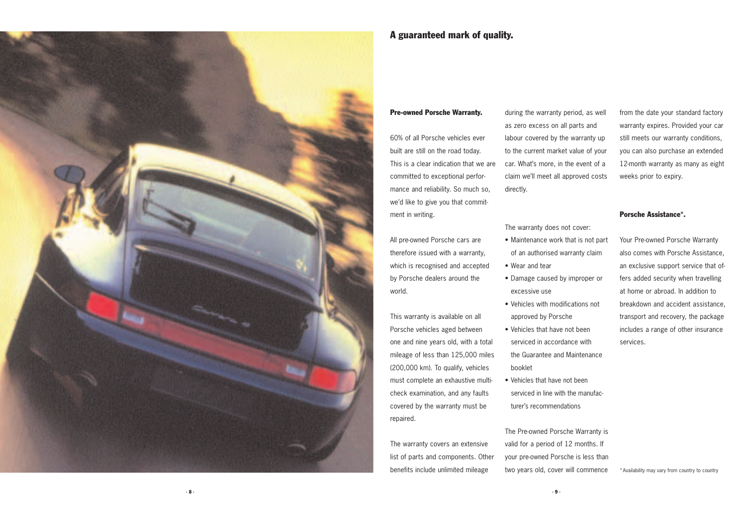

## A guaranteed mark of quality.

#### Pre-owned Porsche Warranty.

60% of all Porsche vehicles ever built are still on the road today. This is a clear indication that we are committed to exceptional performance and reliability. So much so, we'd like to give you that commitment in writing.

All pre-owned Porsche cars are therefore issued with a warranty, which is recognised and accepted by Porsche dealers around the world.

This warranty is available on all Porsche vehicles aged between one and nine years old, with a total mileage of less than 125,000 miles (200,000 km). To qualify, vehicles must complete an exhaustive multicheck examination, and any faults covered by the warranty must be repaired.

The warranty covers an extensive list of parts and components. Other benefits include unlimited mileage

during the warranty period, as well as zero excess on all parts and labour covered by the warranty up to the current market value of your car. What's more, in the event of a claim we'll meet all approved costs directly.

from the date your standard factory warranty expires. Provided your car still meets our warranty conditions, you can also purchase an extended 12-month warranty as many as eight weeks prior to expiry.

#### Porsche Assistance\*.

Your Pre-owned Porsche Warranty also comes with Porsche Assistance, an exclusive support service that offers added security when travelling at home or abroad. In addition to breakdown and accident assistance, transport and recovery, the package includes a range of other insurance services.

The warranty does not cover:

- Maintenance work that is not part of an authorised warranty claim
- Wear and tear
- Damage caused by improper or excessive use
- Vehicles with modifications not approved by Porsche
- Vehicles that have not been serviced in accordance with the Guarantee and Maintenance booklet
- Vehicles that have not been serviced in line with the manufacturer's recommendations

The Pre-owned Porsche Warranty is valid for a period of 12 months. If your pre-owned Porsche is less than two years old, cover will commence

\*Availability may vary from country to country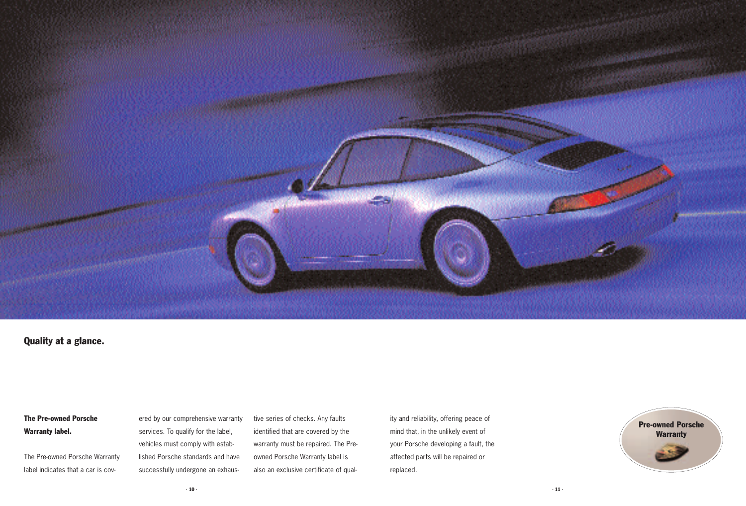

## Quality at a glance.

# The Pre-owned Porsche Warranty label.

The Pre-owned Porsche Warranty label indicates that a car is covered by our comprehensive warranty services. To qualify for the label, vehicles must comply with established Porsche standards and have successfully undergone an exhaustive series of checks. Any faults identified that are covered by the warranty must be repaired. The Preowned Porsche Warranty label is also an exclusive certificate of quality and reliability, offering peace of mind that, in the unlikely event of your Porsche developing a fault, the affected parts will be repaired or replaced.

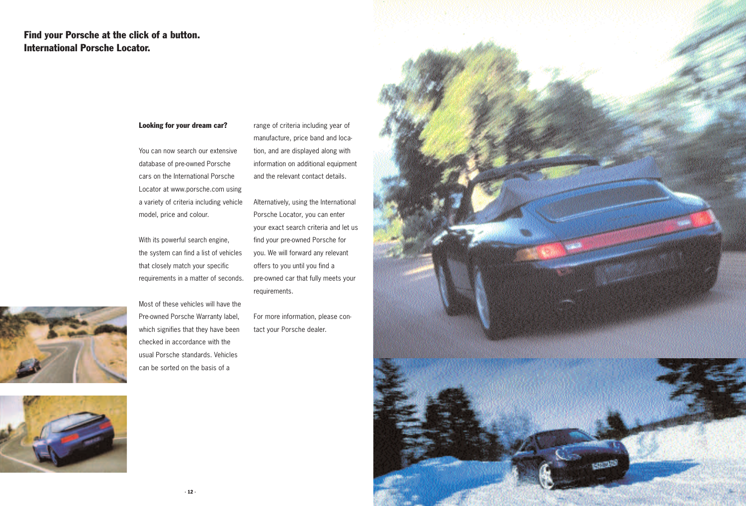# Find your Porsche at the click of a button. International Porsche Locator.

#### Looking for your dream car?

You can now search our extensive database of pre-owned Porsche cars on the International Porsche Locator at www.porsche.com using a variety of criteria including vehicle model, price and colour.

With its powerful search engine, the system can find a list of vehicles that closely match your specific requirements in a matter of seconds.

Most of these vehicles will have the Pre-owned Porsche Warranty label, which signifies that they have been checked in accordance with the usual Porsche standards. Vehicles can be sorted on the basis of a

range of criteria including year of manufacture, price band and location, and are displayed along with information on additional equipment and the relevant contact details.

Alternatively, using the International Porsche Locator, you can enter your exact search criteria and let us find your pre-owned Porsche for you. We will forward any relevant offers to you until you find a pre-owned car that fully meets your requirements.

For more information, please contact your Porsche dealer.